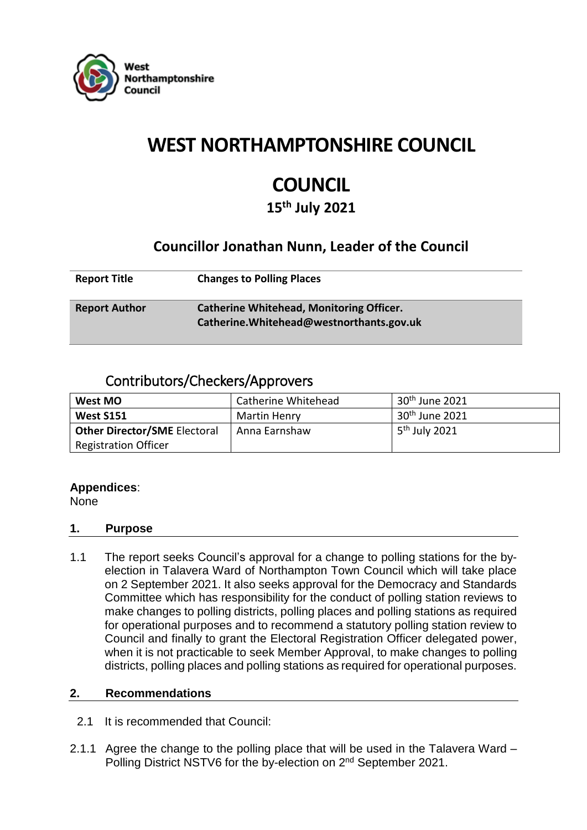

## **WEST NORTHAMPTONSHIRE COUNCIL**

# **COUNCIL**

**15th July 2021**

### **Councillor Jonathan Nunn, Leader of the Council**

| <b>Report Title</b>  | <b>Changes to Polling Places</b>                                                             |
|----------------------|----------------------------------------------------------------------------------------------|
| <b>Report Author</b> | <b>Catherine Whitehead, Monitoring Officer.</b><br>Catherine. Whitehead@westnorthants.gov.uk |

### Contributors/Checkers/Approvers

| West MO                      | Catherine Whitehead | $30th$ June 2021          |
|------------------------------|---------------------|---------------------------|
| West S151                    | Martin Henry        | $30th$ June 2021          |
| Other Director/SME Electoral | Anna Earnshaw       | 5 <sup>th</sup> July 2021 |
| <b>Registration Officer</b>  |                     |                           |

#### **Appendices**:

None

#### **1. Purpose**

1.1 The report seeks Council's approval for a change to polling stations for the byelection in Talavera Ward of Northampton Town Council which will take place on 2 September 2021. It also seeks approval for the Democracy and Standards Committee which has responsibility for the conduct of polling station reviews to make changes to polling districts, polling places and polling stations as required for operational purposes and to recommend a statutory polling station review to Council and finally to grant the Electoral Registration Officer delegated power, when it is not practicable to seek Member Approval, to make changes to polling districts, polling places and polling stations as required for operational purposes.

#### **2. Recommendations**

- 2.1 It is recommended that Council:
- 2.1.1 Agree the change to the polling place that will be used in the Talavera Ward Polling District NSTV6 for the by-election on 2<sup>nd</sup> September 2021.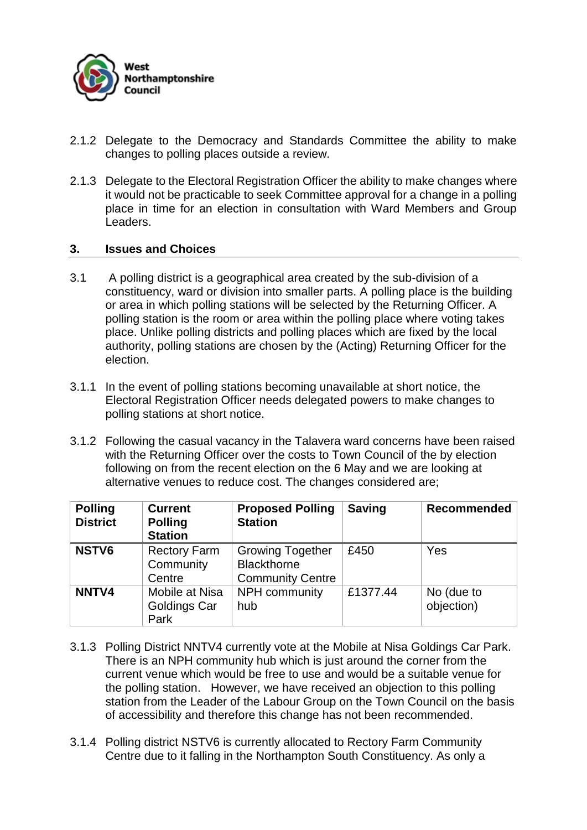

- 2.1.2 Delegate to the Democracy and Standards Committee the ability to make changes to polling places outside a review.
- 2.1.3 Delegate to the Electoral Registration Officer the ability to make changes where it would not be practicable to seek Committee approval for a change in a polling place in time for an election in consultation with Ward Members and Group Leaders.

#### **3. Issues and Choices**

- 3.1 A polling district is a geographical area created by the sub-division of a constituency, ward or division into smaller parts. A polling place is the building or area in which polling stations will be selected by the Returning Officer. A polling station is the room or area within the polling place where voting takes place. Unlike polling districts and polling places which are fixed by the local authority, polling stations are chosen by the (Acting) Returning Officer for the election.
- 3.1.1 In the event of polling stations becoming unavailable at short notice, the Electoral Registration Officer needs delegated powers to make changes to polling stations at short notice.
- 3.1.2 Following the casual vacancy in the Talavera ward concerns have been raised with the Returning Officer over the costs to Town Council of the by election following on from the recent election on the 6 May and we are looking at alternative venues to reduce cost. The changes considered are;

| <b>Polling</b><br><b>District</b> | <b>Current</b><br><b>Polling</b><br><b>Station</b> | <b>Proposed Polling</b><br><b>Station</b>                                | <b>Saving</b> | <b>Recommended</b>       |
|-----------------------------------|----------------------------------------------------|--------------------------------------------------------------------------|---------------|--------------------------|
| <b>NSTV6</b>                      | <b>Rectory Farm</b><br>Community<br>Centre         | <b>Growing Together</b><br><b>Blackthorne</b><br><b>Community Centre</b> | £450          | Yes                      |
| NNTV4                             | Mobile at Nisa<br>Goldings Car<br>Park             | NPH community<br>hub                                                     | £1377.44      | No (due to<br>objection) |

- 3.1.3 Polling District NNTV4 currently vote at the Mobile at Nisa Goldings Car Park. There is an NPH community hub which is just around the corner from the current venue which would be free to use and would be a suitable venue for the polling station. However, we have received an objection to this polling station from the Leader of the Labour Group on the Town Council on the basis of accessibility and therefore this change has not been recommended.
- 3.1.4 Polling district NSTV6 is currently allocated to Rectory Farm Community Centre due to it falling in the Northampton South Constituency. As only a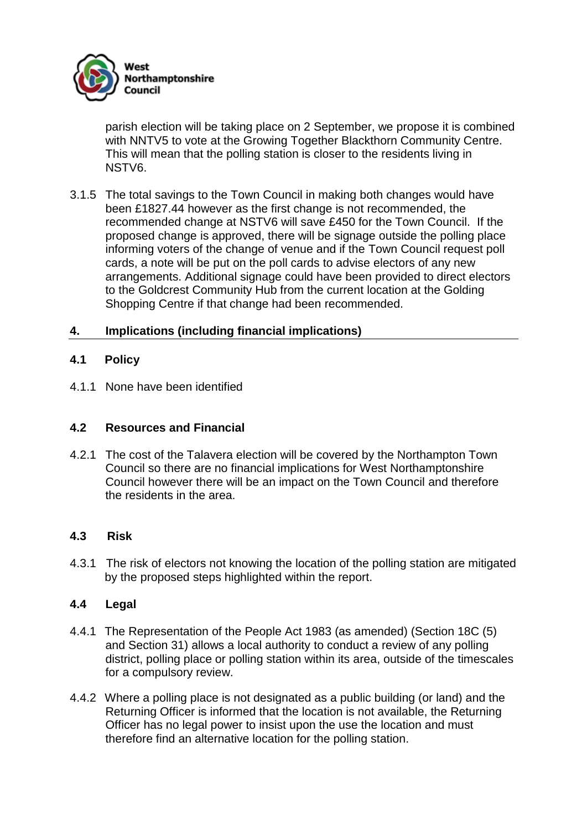

parish election will be taking place on 2 September, we propose it is combined with NNTV5 to vote at the Growing Together Blackthorn Community Centre. This will mean that the polling station is closer to the residents living in NSTV6.

3.1.5 The total savings to the Town Council in making both changes would have been £1827.44 however as the first change is not recommended, the recommended change at NSTV6 will save £450 for the Town Council. If the proposed change is approved, there will be signage outside the polling place informing voters of the change of venue and if the Town Council request poll cards, a note will be put on the poll cards to advise electors of any new arrangements. Additional signage could have been provided to direct electors to the Goldcrest Community Hub from the current location at the Golding Shopping Centre if that change had been recommended.

#### **4. Implications (including financial implications)**

#### **4.1 Policy**

4.1.1 None have been identified

#### **4.2 Resources and Financial**

4.2.1 The cost of the Talavera election will be covered by the Northampton Town Council so there are no financial implications for West Northamptonshire Council however there will be an impact on the Town Council and therefore the residents in the area.

#### **4.3 Risk**

4.3.1 The risk of electors not knowing the location of the polling station are mitigated by the proposed steps highlighted within the report.

#### **4.4 Legal**

- 4.4.1 The Representation of the People Act 1983 (as amended) (Section 18C (5) and Section 31) allows a local authority to conduct a review of any polling district, polling place or polling station within its area, outside of the timescales for a compulsory review.
- 4.4.2 Where a polling place is not designated as a public building (or land) and the Returning Officer is informed that the location is not available, the Returning Officer has no legal power to insist upon the use the location and must therefore find an alternative location for the polling station.